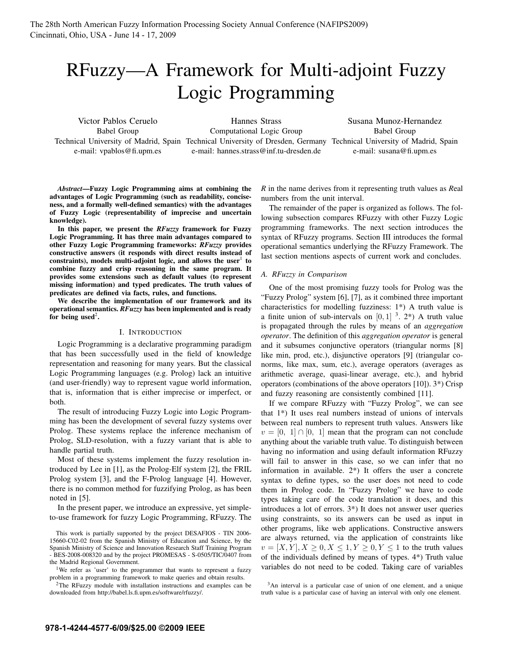# RFuzzy—A Framework for Multi-adjoint Fuzzy Logic Programming

Victor Pablos Ceruelo Babel Group e-mail: vpablos@fi.upm.es

Technical University of Madrid, Spain Technical University of Dresden, Germany Technical University of Madrid, Spain Hannes Strass Computational Logic Group e-mail: hannes.strass@inf.tu-dresden.de

Susana Munoz-Hernandez Babel Group e-mail: susana@fi.upm.es

*Abstract*—Fuzzy Logic Programming aims at combining the advantages of Logic Programming (such as readability, conciseness, and a formally well-defined semantics) with the advantages of Fuzzy Logic (representability of imprecise and uncertain knowledge).

In this paper, we present the *RFuzzy* framework for Fuzzy Logic Programming. It has three main advantages compared to other Fuzzy Logic Programming frameworks: *RFuzzy* provides constructive answers (it responds with direct results instead of constraints), models multi-adjoint logic, and allows the user  $1$  to combine fuzzy and crisp reasoning in the same program. It provides some extensions such as default values (to represent missing information) and typed predicates. The truth values of predicates are defined via facts, rules, and functions.

We describe the implementation of our framework and its operational semantics. *RFuzzy* has been implemented and is ready for being used<sup>2</sup>.

# I. INTRODUCTION

Logic Programming is a declarative programming paradigm that has been successfully used in the field of knowledge representation and reasoning for many years. But the classical Logic Programming languages (e.g. Prolog) lack an intuitive (and user-friendly) way to represent vague world information, that is, information that is either imprecise or imperfect, or both.

The result of introducing Fuzzy Logic into Logic Programming has been the development of several fuzzy systems over Prolog. These systems replace the inference mechanism of Prolog, SLD-resolution, with a fuzzy variant that is able to handle partial truth.

Most of these systems implement the fuzzy resolution introduced by Lee in [1], as the Prolog-Elf system [2], the FRIL Prolog system [3], and the F-Prolog language [4]. However, there is no common method for fuzzifying Prolog, as has been noted in [5].

In the present paper, we introduce an expressive, yet simpleto-use framework for fuzzy Logic Programming, RFuzzy. The

This work is partially supported by the project DESAFIOS - TIN 2006- 15660-C02-02 from the Spanish Ministry of Education and Science, by the Spanish Ministry of Science and Innovation Research Staff Training Program - BES-2008-008320 and by the project PROMESAS - S-0505/TIC/0407 from the Madrid Regional Government.

<sup>1</sup>We refer as 'user' to the programmer that wants to represent a fuzzy problem in a programming framework to make queries and obtain results.

2The RFuzzy module with installation instructions and examples can be downloaded from http://babel.ls.fi.upm.es/software/rfuzzy/.

*R* in the name derives from it representing truth values as *R*eal numbers from the unit interval.

The remainder of the paper is organized as follows. The following subsection compares RFuzzy with other Fuzzy Logic programming frameworks. The next section introduces the syntax of RFuzzy programs. Section III introduces the formal operational semantics underlying the RFuzzy Framework. The last section mentions aspects of current work and concludes.

#### *A. RFuzzy in Comparison*

One of the most promising fuzzy tools for Prolog was the "Fuzzy Prolog" system [6], [7], as it combined three important characteristics for modelling fuzziness: 1\*) A truth value is a finite union of sub-intervals on  $[0, 1]$  <sup>3</sup>. 2<sup>\*</sup>) A truth value is propagated through the rules by means of an *aggregation operator*. The definition of this *aggregation operator* is general and it subsumes conjunctive operators (triangular norms [8] like min, prod, etc.), disjunctive operators [9] (triangular conorms, like max, sum, etc.), average operators (averages as arithmetic average, quasi-linear average, etc.), and hybrid operators (combinations of the above operators [10]). 3\*) Crisp and fuzzy reasoning are consistently combined [11].

If we compare RFuzzy with "Fuzzy Prolog", we can see that 1\*) It uses real numbers instead of unions of intervals between real numbers to represent truth values. Answers like  $v = [0, 1] \cap [0, 1]$  mean that the program can not conclude anything about the variable truth value. To distinguish between having no information and using default information RFuzzy will fail to answer in this case, so we can infer that no information in available. 2\*) It offers the user a concrete syntax to define types, so the user does not need to code them in Prolog code. In "Fuzzy Prolog" we have to code types taking care of the code translation it does, and this introduces a lot of errors. 3\*) It does not answer user queries using constraints, so its answers can be used as input in other programs, like web applications. Constructive answers are always returned, via the application of constraints like  $v = [X, Y], X \geq 0, X \leq 1, Y \geq 0, Y \leq 1$  to the truth values of the individuals defined by means of types. 4\*) Truth value variables do not need to be coded. Taking care of variables

3An interval is a particular case of union of one element, and a unique truth value is a particular case of having an interval with only one element.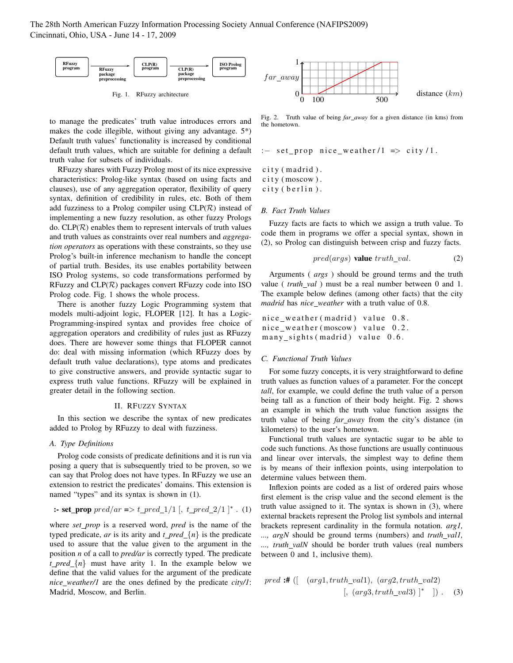The 28th North American Fuzzy Information Processing Society Annual Conference (NAFIPS2009) Cincinnati, Ohio, USA - June 14 - 17, 2009



Fig. 1. RFuzzy architecture

to manage the predicates' truth value introduces errors and makes the code illegible, without giving any advantage. 5\*) Default truth values' functionality is increased by conditional default truth values, which are suitable for defining a default truth value for subsets of individuals.

RFuzzy shares with Fuzzy Prolog most of its nice expressive characteristics: Prolog-like syntax (based on using facts and clauses), use of any aggregation operator, flexibility of query syntax, definition of credibility in rules, etc. Both of them add fuzziness to a Prolog compiler using  $CLP(\mathcal{R})$  instead of implementing a new fuzzy resolution, as other fuzzy Prologs do.  $CLP(\mathcal{R})$  enables them to represent intervals of truth values and truth values as constraints over real numbers and *aggregation operators* as operations with these constraints, so they use Prolog's built-in inference mechanism to handle the concept of partial truth. Besides, its use enables portability between ISO Prolog systems, so code transformations performed by RFuzzy and  $CLP(\mathcal{R})$  packages convert RFuzzy code into ISO Prolog code. Fig. 1 shows the whole process.

There is another fuzzy Logic Programming system that models multi-adjoint logic, FLOPER [12]. It has a Logic-Programming-inspired syntax and provides free choice of aggregation operators and credibility of rules just as RFuzzy does. There are however some things that FLOPER cannot do: deal with missing information (which RFuzzy does by default truth value declarations), type atoms and predicates to give constructive answers, and provide syntactic sugar to express truth value functions. RFuzzy will be explained in greater detail in the following section.

#### II. RFUZZY SYNTAX

In this section we describe the syntax of new predicates added to Prolog by RFuzzy to deal with fuzziness.

#### *A. Type Definitions*

Prolog code consists of predicate definitions and it is run via posing a query that is subsequently tried to be proven, so we can say that Prolog does not have types. In RFuzzy we use an extension to restrict the predicates' domains. This extension is named "types" and its syntax is shown in (1).

**:= set\\_prop** 
$$
pred(ar => t\_pred\_1/1
$$
 [,  $t\_pred\_2/1$  ]<sup>\*</sup> . (1)

where *set prop* is a reserved word, *pred* is the name of the typed predicate, *ar* is its arity and  $t$  *pred*  $\{n\}$  is the predicate used to assure that the value given to the argument in the position *n* of a call to *pred/ar* is correctly typed. The predicate *t pred*  $\{n\}$  must have arity 1. In the example below we define that the valid values for the argument of the predicate *nice weather/1* are the ones defined by the predicate *city/1*: Madrid, Moscow, and Berlin.



Fig. 2. Truth value of being *far away* for a given distance (in kms) from the hometown.

$$
:=
$$
 set\_prop nice weather/1  $=$  city/1.

 $city (madrid)$ . city (moscow). city (berlin).

## *B. Fact Truth Values*

Fuzzy facts are facts to which we assign a truth value. To code them in programs we offer a special syntax, shown in (2), so Prolog can distinguish between crisp and fuzzy facts.

$$
pred(args) \text{ value } truth\_val. \tag{2}
$$

Arguments ( *args* ) should be ground terms and the truth value (*truth\_val*) must be a real number between 0 and 1. The example below defines (among other facts) that the city *madrid* has *nice weather* with a truth value of 0.8.

nice\_weather (madrid) value 0.8. nice\_weather (moscow) value 0.2.  $many\_sights (madirid) value 0.6.$ 

## *C. Functional Truth Values*

For some fuzzy concepts, it is very straightforward to define truth values as function values of a parameter. For the concept *tall*, for example, we could define the truth value of a person being tall as a function of their body height. Fig. 2 shows an example in which the truth value function assigns the truth value of being *far away* from the city's distance (in kilometers) to the user's hometown.

Functional truth values are syntactic sugar to be able to code such functions. As those functions are usually continuous and linear over intervals, the simplest way to define them is by means of their inflexion points, using interpolation to determine values between them.

Inflexion points are coded as a list of ordered pairs whose first element is the crisp value and the second element is the truth value assigned to it. The syntax is shown in (3), where external brackets represent the Prolog list symbols and internal brackets represent cardinality in the formula notation. *arg1, ..., argN* should be ground terms (numbers) and *truth val1, ..., truth valN* should be border truth values (real numbers between 0 and 1, inclusive them).

$$
pred: # ([arg1, truth\_val1), (arg2, truth\_val2)
$$

$$
[, (arg3, truth\_val3) ]^* ]). (3)
$$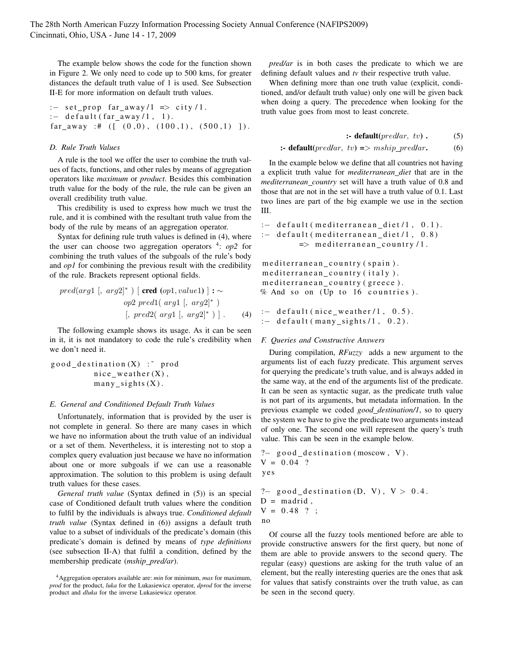The example below shows the code for the function shown in Figure 2. We only need to code up to 500 kms, for greater distances the default truth value of 1 is used. See Subsection II-E for more information on default truth values.

```
: - set prop far away /1 \implies city /1.
:= default (far away /1, 1).
far_away :# ([ (0,0), (100,1), (500,1) ]).
```
# *D. Rule Truth Values*

A rule is the tool we offer the user to combine the truth values of facts, functions, and other rules by means of aggregation operators like *maximum* or *product*. Besides this combination truth value for the body of the rule, the rule can be given an overall credibility truth value.

This credibility is used to express how much we trust the rule, and it is combined with the resultant truth value from the body of the rule by means of an aggregation operator.

Syntax for defining rule truth values is defined in (4), where the user can choose two aggregation operators <sup>4</sup>: *op*2 for combining the truth values of the subgoals of the rule's body and *op1* for combining the previous result with the credibility of the rule. Brackets represent optional fields.

$$
pred(arg1 [, arg2]^{*}) [ \textbf{cred} (op1, value1) ] : \sim
$$
  

$$
op2 pred1([arg1 [, arg2]^{*})
$$
  

$$
[, pred2([arg1 [, arg2]^{*}) ] .
$$
 (4)

The following example shows its usage. As it can be seen in it, it is not mandatory to code the rule's credibility when we don't need it.

 $good\_destination(X)$ : prod  $nice$  we a ther  $(X)$ ,  $many\_sights(X)$ .

## *E. General and Conditioned Default Truth Values*

Unfortunately, information that is provided by the user is not complete in general. So there are many cases in which we have no information about the truth value of an individual or a set of them. Nevertheless, it is interesting not to stop a complex query evaluation just because we have no information about one or more subgoals if we can use a reasonable approximation. The solution to this problem is using default truth values for these cases.

*General truth value* (Syntax defined in (5)) is an special case of Conditioned default truth values where the condition to fulfil by the individuals is always true. *Conditioned default truth value* (Syntax defined in (6)) assigns a default truth value to a subset of individuals of the predicate's domain (this predicate's domain is defined by means of *type definitions* (see subsection II-A) that fulfil a condition, defined by the membership predicate (*mship pred/ar*).

*pred/ar* is in both cases the predicate to which we are defining default values and *tv* their respective truth value.

When defining more than one truth value (explicit, conditioned, and/or default truth value) only one will be given back when doing a query. The precedence when looking for the truth value goes from most to least concrete.

$$
\textbf{:} \textbf{default}(predlar, \textit{ tv}) . \qquad (5)
$$

```
:- default(predlar, tv) => mship predlar. (6)
```
In the example below we define that all countries not having a explicit truth value for *mediterranean diet* that are in the *mediterranean country* set will have a truth value of 0.8 and those that are not in the set will have a truth value of 0.1. Last two lines are part of the big example we use in the section III.

```
: default (mediterranean_diet/1, 0.1).
: - de fault (mediterrane an_diet /1, 0.8)
         \Rightarrow mediterranean_country /1.
```

```
me dit errane an_country (spain).
me dit errane an_country (italy).
me diterrane an_country (greece).
% And so on (Up to 16 countries).
```

```
: default (nice weather /1, 0.5).
: default (many_sights /1, 0.2).
```
# *F. Queries and Constructive Answers*

During compilation, *RFuzzy* adds a new argument to the arguments list of each fuzzy predicate. This argument serves for querying the predicate's truth value, and is always added in the same way, at the end of the arguments list of the predicate. It can be seen as syntactic sugar, as the predicate truth value is not part of its arguments, but metadata information. In the previous example we coded *good destination/1*, so to query the system we have to give the predicate two arguments instead of only one. The second one will represent the query's truth value. This can be seen in the example below.

```
? good_destination (moscow, V).
V = 0.04 ?
y e s
```

```
?- good\_destination(D, V), V > 0.4.D = \text{madrid}.
V = 0.48 ?;
no
```
Of course all the fuzzy tools mentioned before are able to provide constructive answers for the first query, but none of them are able to provide answers to the second query. The regular (easy) questions are asking for the truth value of an element, but the really interesting queries are the ones that ask for values that satisfy constraints over the truth value, as can be seen in the second query.

<sup>4</sup>Aggregation operators available are: *min* for minimum, *max* for maximum, *prod* for the product, *luka* for the Lukasiewicz operator, *dprod* for the inverse product and *dluka* for the inverse Lukasiewicz operator.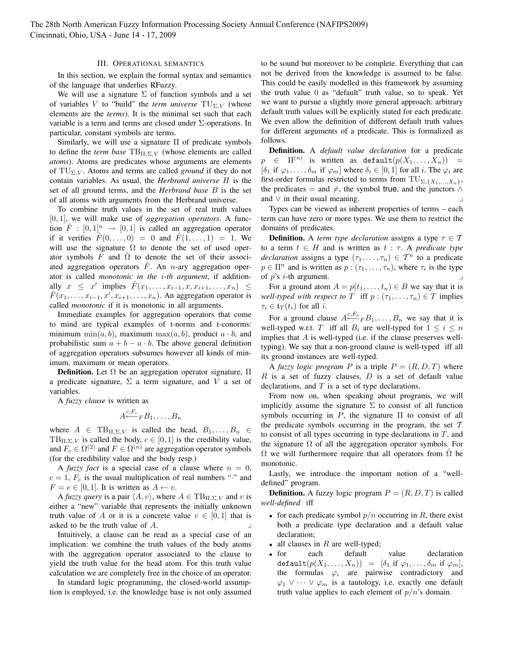## III. OPERATIONAL SEMANTICS

In this section, we explain the formal syntax and semantics of the language that underlies RFuzzy.

We will use a signature  $\Sigma$  of function symbols and a set of variables V to "build" the *term universe*  $TU_{\Sigma,V}$  (whose elements are the *terms*). It is the minimal set such that each variable is a term and terms are closed under  $\Sigma$ -operations. In particular, constant symbols are terms.

Similarly, we will use a signature  $\Pi$  of predicate symbols to define the *term base*  $TB_{\Pi,\Sigma,V}$  (whose elements are called *atoms*). Atoms are predicates whose arguments are elements of  $TU_{\Sigma,V}$ . Atoms and terms are called *ground* if they do not contain variables. As usual, the *Herbrand universe* H is the set of all ground terms, and the *Herbrand base* B is the set of all atoms with arguments from the Herbrand universe.

To combine truth values in the set of real truth values [0, 1], we will make use of *aggregation operators*. A function  $\hat{F} : [0,1]^n \rightarrow [0,1]$  is called an aggregation operator if it verifies  $\hat{F}(0, \ldots, 0) = 0$  and  $F(1, \ldots, 1) = 1$ . We will use the signature  $\Omega$  to denote the set of used operator symbols F and  $\Omega$  to denote the set of their associated aggregation operators  $F$ . An *n*-ary aggregation operator is called *monotonic in the* i*-th argument*, if additionally  $x \leq x'$  implies  $\hat{F}(x_1, \ldots, x_{i-1}, x, x_{i+1}, \ldots, x_n) \leq$  $F(x_1, \ldots, x_{i-1}, x', x_{i+1}, \ldots, x_n)$ . An aggregation operator is called *monotonic* if it is monotonic in all arguments.

Immediate examples for aggregation operators that come to mind are typical examples of t-norms and t-conorms: minimum min $(a, b)$ , maximum max $(a, b)$ , product  $a \cdot b$ , and probabilistic sum  $a + b - a \cdot b$ . The above general definition of aggregation operators subsumes however all kinds of minimum, maximum or mean operators.

**Definition.** Let  $Ω$  be an aggregation operator signature,  $Π$ a predicate signature,  $\Sigma$  a term signature, and V a set of variables.

A *fuzzy clause* is written as

$$
A \xleftarrow{c, F_c} F B_1, \ldots, B_n
$$

where  $A \in TB_{\Pi,\Sigma,V}$  is called the head,  $B_1,\ldots,B_n \in$  $TB_{\Pi,\Sigma,V}$  is called the body,  $c \in [0,1]$  is the credibility value, and  $F_c \in \Omega^{(2)}$  and  $F \in \Omega^{(n)}$  are aggregation operator symbols (for the credibility value and the body resp.)

A *fuzzy fact* is a special case of a clause where  $n = 0$ ,  $c = 1$ ,  $F_c$  is the usual multiplication of real numbers "." and  $F = v \in [0, 1]$ . It is written as  $A \leftarrow v$ .

A *fuzzy query* is a pair  $\langle A, v \rangle$ , where  $A \in TB_{\Pi, \Sigma, V}$  and v is either a "new" variable that represents the initially unknown truth value of A or it is a concrete value  $v \in [0, 1]$  that is asked to be the truth value of  $A$ .

Intuitively, a clause can be read as a special case of an implication: we combine the truth values of the body atoms with the aggregation operator associated to the clause to yield the truth value for the head atom. For this truth value calculation we are completely free in the choice of an operator.

In standard logic programming, the closed-world assumption is employed, i.e. the knowledge base is not only assumed to be sound but moreover to be complete. Everything that can not be derived from the knowledge is assumed to be false. This could be easily modelled in this framework by assuming the truth value 0 as "default" truth value, so to speak. Yet we want to pursue a slightly more general approach: arbitrary default truth values will be explicitly stated for each predicate. We even allow the definition of different default truth values for different arguments of a predicate. This is formalized as follows.

Definition. A *default value declaration* for a predicate  $p \in \Pi^{(n)}$  is written as default $(p(X_1, \ldots, X_n)) =$ [ $\delta_1$  if  $\varphi_1, \ldots, \delta_m$  if  $\varphi_m$ ] where  $\delta_i \in [0, 1]$  for all i. The  $\varphi_i$  are first-order formulas restricted to terms from  $TU_{\Sigma,\{X_1,...,X_n\}}$ , the predicates = and  $\neq$ , the symbol true, and the junctors  $\wedge$ and  $\vee$  in their usual meaning.

Types can be viewed as inherent properties of terms – each term can have zero or more types. We use them to restrict the domains of predicates.

**Definition.** A *term type declaration* assigns a type  $\tau \in \mathcal{T}$ to a term  $t \in H$  and is written as  $t : \tau$ . A *predicate type declaration* assigns a type  $(\tau_1, \ldots, \tau_n) \in \mathcal{T}^n$  to a predicate  $p \in \Pi^n$  and is written as  $p : (\tau_1, \ldots, \tau_n)$ , where  $\tau_i$  is the type of  $p$ 's *i*-th argument.

For a ground atom  $A = p(t_1, \ldots, t_n) \in B$  we say that it is *well-typed with respect to*  $T$  iff  $p:(\tau_1,\ldots,\tau_n)\in T$  implies  $\tau_i \in \mathfrak{t}_T(t_i)$  for all i.

For a ground clause  $A \stackrel{c, F_c}{\leftarrow} F B_1, \ldots, B_n$  we say that it is well-typed w.r.t. T iff all  $B_i$  are well-typed for  $1 \leq i \leq n$ implies that  $A$  is well-typed (i.e. if the clause preserves welltyping). We say that a non-ground clause is well-typed iff all its ground instances are well-typed.

A *fuzzy logic program* P is a triple  $P = (R, D, T)$  where  $R$  is a set of fuzzy clauses,  $D$  is a set of default value declarations, and  $T$  is a set of type declarations.

From now on, when speaking about programs, we will implicitly assume the signature  $\Sigma$  to consist of all function symbols occurring in  $P$ , the signature  $\Pi$  to consist of all the predicate symbols occurring in the program, the set  $T$ to consist of all types occurring in type declarations in  $T$ , and the signature  $\Omega$  of all the aggregation operator symbols. For  $Ω$  we will furthermore require that all operators from  $Ω$  be monotonic.

Lastly, we introduce the important notion of a "welldefined" program.

**Definition.** A fuzzy logic program  $P = (R, D, T)$  is called *well-defined* iff

- for each predicate symbol  $p/n$  occurring in R, there exist both a predicate type declaration and a default value declaration;
- all clauses in  $R$  are well-typed;
- for each default value declaration default $(p(X_1, \ldots, X_n)) = [\delta_1 \text{ if } \varphi_1, \ldots, \delta_m \text{ if } \varphi_m],$ the formulas  $\varphi_i$  are pairwise contradictory and  $\varphi_1 \vee \cdots \vee \varphi_m$  is a tautology, i.e. exactly one default truth value applies to each element of  $p/n$ 's domain.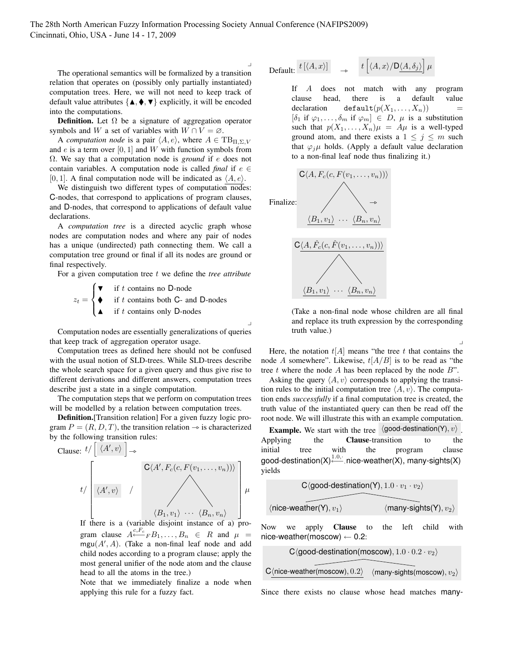$\overline{\phantom{0}}$ 

 $\overline{\phantom{0}}$ 

The operational semantics will be formalized by a transition relation that operates on (possibly only partially instantiated) computation trees. Here, we will not need to keep track of default value attributes  $\{ \blacktriangle, \blacklozenge, \blacktriangledown \}$  explicitly, it will be encoded into the computations.

**Definition.** Let  $\Omega$  be a signature of aggregation operator symbols and W a set of variables with  $W \cap V = \emptyset$ .

A *computation node* is a pair  $\langle A, e \rangle$ , where  $A \in \text{TB}_{\Pi, \Sigma, V}$ and  $e$  is a term over [0, 1] and W with function symbols from Ω. We say that a computation node is *ground* if e does not contain variables. A computation node is called *final* if  $e \in$ [0, 1]. A final computation node will be indicated as  $\langle A, e \rangle$ .

We distinguish two different types of computation nodes: C-nodes, that correspond to applications of program clauses, and D-nodes, that correspond to applications of default value declarations.

A *computation tree* is a directed acyclic graph whose nodes are computation nodes and where any pair of nodes has a unique (undirected) path connecting them. We call a computation tree ground or final if all its nodes are ground or final respectively.

For a given computation tree t we define the *tree attribute* 

$$
z_t = \begin{cases} \n\blacktriangledown & \text{if } t \text{ contains no D-node} \\ \n\blacktriangle & \text{if } t \text{ contains both C- and D-nodes} \\ \n\blacktriangle & \text{if } t \text{ contains only D-nodes} \n\end{cases}
$$

Computation nodes are essentially generalizations of queries that keep track of aggregation operator usage.

Computation trees as defined here should not be confused with the usual notion of SLD-trees. While SLD-trees describe the whole search space for a given query and thus give rise to different derivations and different answers, computation trees describe just a state in a single computation.

The computation steps that we perform on computation trees will be modelled by a relation between computation trees.

Definition.[Transition relation] For a given fuzzy logic program  $P = (R, D, T)$ , the transition relation  $\rightarrow$  is characterized by the following transition rules:

Clause: 

\n
$$
t / \left[ \langle A', v \rangle \right] \rightarrow
$$
\n
$$
t / \left[ \langle A', v \rangle \right] / \left[ \langle A', v \rangle \right] / \left[ \langle A', v \rangle \right] / \left[ \langle A', v \rangle \right] / \left[ \langle A', v \rangle \right] / \left[ \langle A', v \rangle \right] \right]
$$
\n
$$
t / \left[ \langle A', v \rangle \right] / \left[ \langle A', v \rangle \right] / \left[ \langle A', v \rangle \right] / \left[ \langle A', v \rangle \right] / \left[ \langle A', v \rangle \right] \right]
$$
\n
$$
t / \left[ \langle A', v \rangle \right] / \left[ \langle A', v \rangle \right] / \left[ \langle A', v \rangle \right] / \left[ \langle A', v \rangle \right] / \left[ \langle A', v \rangle \right] \right]
$$
\n
$$
t / \left[ \langle A', v \rangle \right] / \left[ \langle A', v \rangle \right] / \left[ \langle A', v \rangle \right] / \left[ \langle A', v \rangle \right] / \left[ \langle A', v \rangle \right] / \left[ \langle A', v \rangle \right] / \left[ \langle A', v \rangle \right] / \left[ \langle A', v \rangle \right] / \left[ \langle A', v \rangle \right] / \left[ \langle A', v \rangle \right] / \left[ \langle A', v \rangle \right] / \left[ \langle A', v \rangle \right] / \left[ \langle A', v \rangle \right] / \left[ \langle A', v \rangle \right] / \left[ \langle A', v \rangle \right] / \left[ \langle A', v \rangle \right] / \left[ \langle A', v \rangle \right] / \left[ \langle A', v \rangle \right] / \left[ \langle A', v \rangle \right] / \left[ \langle A', v \rangle \right] / \left[ \langle A', v \rangle \right] / \left[ \langle A', v \rangle \right] / \left[ \langle A', v \rangle \right] / \left[ \langle A', v \rangle \right] / \left[ \langle A', v \rangle \right] / \left[ \langle A', v \rangle \right] / \left[ \langle A', v \rangle \right] / \left[ \langle A', v \rangle \right] / \left[ \langle A', v \rangle \right] / \left[ \langle A', v \rangle \right] / \left[ \langle A', v \rangle \right] / \left[ \langle A', v \rangle \right] / \left[ \langle A', v \rangle
$$

If there is a (variable disjoint instance of a) program clause  $A \xleftarrow{c, F_c} F B_1, \ldots, B_n \in R$  and  $\mu =$  $mgu(A', A)$ . (Take a non-final leaf node and add child nodes according to a program clause; apply the most general unifier of the node atom and the clause head to all the atoms in the tree.)

Note that we immediately finalize a node when applying this rule for a fuzzy fact.

$$
\text{Default:} \begin{array}{ccc} t \left[ \langle A, x \rangle \right] & \rightarrow & t \left[ \langle A, x \rangle / \mathsf{D} \underline{\langle A, \delta_j \rangle} \right] \mu \end{array}
$$

If A does not match with any program clause head, there is a default value declaration default $(p(X_1, \ldots, X_n))$  $[\delta_1$  if  $\varphi_1, \ldots, \delta_m$  if  $\varphi_m] \in D$ ,  $\mu$  is a substitution such that  $p(X_1, \ldots, X_n)\mu = A\mu$  is a well-typed ground atom, and there exists a  $1 \leq j \leq m$  such that  $\varphi_i \mu$  holds. (Apply a default value declaration to a non-final leaf node thus finalizing it.)



(Take a non-final node whose children are all final and replace its truth expression by the corresponding truth value.)

 $\overline{a}$ 

Here, the notation  $t[A]$  means "the tree t that contains the node A somewhere". Likewise,  $t[A/B]$  is to be read as "the tree t where the node A has been replaced by the node  $B$ ".

Asking the query  $\langle A, v \rangle$  corresponds to applying the transition rules to the initial computation tree  $\langle A, v \rangle$ . The computation ends *successfully* if a final computation tree is created, the truth value of the instantiated query can then be read off the root node. We will illustrate this with an example computation.

**Example.** We start with the tree  $\langle \text{good-destination}(Y), v \rangle$ . Applying the **Clause**-transition to the initial tree with the program clause good-destination(X) $\stackrel{1.0, \cdot}{\longleftarrow}$  nice-weather(X), many-sights(X) yields

$$
\overbrace{C\langle good\text{-destination}(Y), 1.0 \cdot v_1 \cdot v_2 \rangle}^{\text{C}\langle good\text{-destination}(Y), 1.0 \cdot v_1 \cdot v_2 \rangle}
$$
\n
$$
\langle \overbrace{\langle \text{many-sights}(Y), v_2 \rangle}^{\text{C}\langle \text{good-destination}(Y), v_1 \rangle}
$$

Now we apply Clause to the left child with nice-weather(moscow)  $\leftarrow$  0.2:

$$
C\langle good\text{-destination}(\text{moscow}), 1.0 \cdot 0.2 \cdot v_2 \rangle
$$
\n
$$
C\langle \text{nice-weather}(\text{moscow}), 0.2 \rangle \quad \langle \text{many-sights}(\text{moscow}), v_2 \rangle
$$

Since there exists no clause whose head matches many-